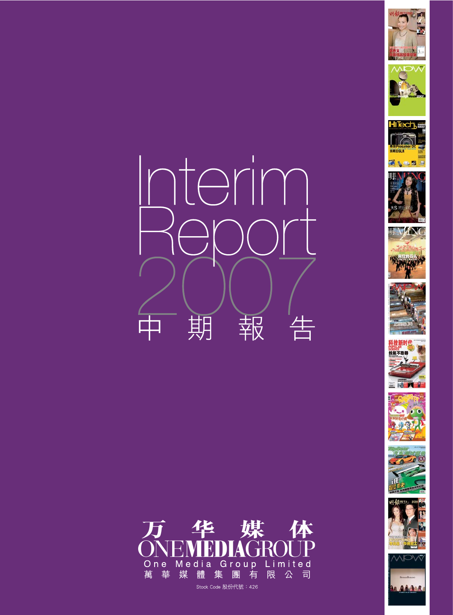





















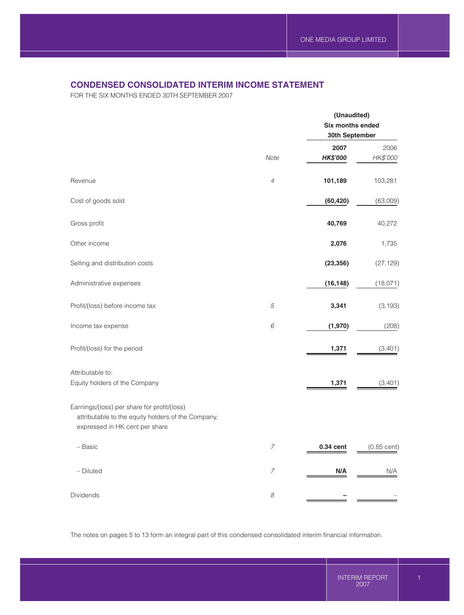# **CONDENSED CONSOLIDATED INTERIM INCOME STATEMENT**

FOR THE SIX MONTHS ENDED 30TH SEPTEMBER 2007

|                                                                                                                                     |                               | (Unaudited)<br>Six months ended<br>30th September |                  |  |
|-------------------------------------------------------------------------------------------------------------------------------------|-------------------------------|---------------------------------------------------|------------------|--|
|                                                                                                                                     | Note                          | 2007<br><b>HK\$'000</b>                           | 2006<br>HK\$'000 |  |
| Revenue                                                                                                                             | $\ensuremath{\mathnormal{4}}$ | 101,189                                           | 103,281          |  |
| Cost of goods sold                                                                                                                  |                               | (60, 420)                                         | (63,009)         |  |
| Gross profit                                                                                                                        |                               | 40,769                                            | 40,272           |  |
| Other income                                                                                                                        |                               | 2,076                                             | 1,735            |  |
| Selling and distribution costs                                                                                                      |                               | (23, 356)                                         | (27, 129)        |  |
| Administrative expenses                                                                                                             |                               | (16, 148)                                         | (18,071)         |  |
| Profit/(loss) before income tax                                                                                                     | 5                             | 3,341                                             | (3, 193)         |  |
| Income tax expense                                                                                                                  | 6                             | (1,970)                                           | (208)            |  |
| Profit/(loss) for the period                                                                                                        |                               | 1,371                                             | (3,401)          |  |
| Attributable to:<br>Equity holders of the Company                                                                                   |                               | 1,371                                             | (3,401)          |  |
| Earnings/(loss) per share for profit/(loss)<br>attributable to the equity holders of the Company,<br>expressed in HK cent per share |                               |                                                   |                  |  |
| - Basic                                                                                                                             | $\boldsymbol{7}$              | 0.34 cent                                         | $(0.85$ cent)    |  |
| - Diluted                                                                                                                           | $\boldsymbol{7}$              | N/A                                               | N/A              |  |
| Dividends                                                                                                                           | $\mathcal S$                  |                                                   |                  |  |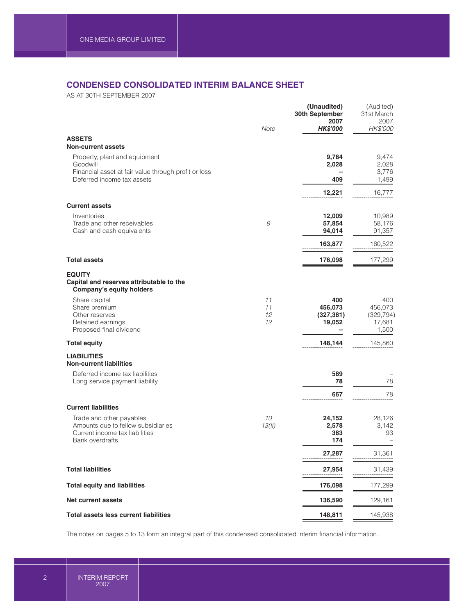# **CONDENSED CONSOLIDATED INTERIM BALANCE SHEET**

AS AT 30TH SEPTEMBER 2007

|                                                                                                                     |                      | (Unaudited)<br>30th September<br>2007  | (Audited)<br>31st March<br>2007                 |
|---------------------------------------------------------------------------------------------------------------------|----------------------|----------------------------------------|-------------------------------------------------|
|                                                                                                                     | Note                 | <b>HK\$'000</b>                        | HK\$'000                                        |
| <b>ASSETS</b><br><b>Non-current assets</b>                                                                          |                      |                                        |                                                 |
| Property, plant and equipment<br>Goodwill                                                                           |                      | 9,784<br>2,028                         | 9,474<br>2,028                                  |
| Financial asset at fair value through profit or loss<br>Deferred income tax assets                                  |                      | 409                                    | 3,776<br>1,499                                  |
|                                                                                                                     |                      | 12,221                                 | 16,777                                          |
| <b>Current assets</b>                                                                                               |                      |                                        |                                                 |
| Inventories<br>Trade and other receivables<br>Cash and cash equivalents                                             | 9                    | 12,009<br>57,854<br>94,014             | 10,989<br>58,176<br>91,357                      |
|                                                                                                                     |                      | 163,877                                | 160,522                                         |
| <b>Total assets</b>                                                                                                 |                      | 176,098                                | 177,299                                         |
| <b>EQUITY</b><br>Capital and reserves attributable to the<br><b>Company's equity holders</b>                        |                      |                                        |                                                 |
| Share capital<br>Share premium<br>Other reserves<br>Retained earnings<br>Proposed final dividend                    | 11<br>11<br>12<br>12 | 400<br>456,073<br>(327, 381)<br>19,052 | 400<br>456,073<br>(329, 794)<br>17,681<br>1,500 |
| <b>Total equity</b>                                                                                                 |                      | 148,144                                | 145,860                                         |
| <b>LIABILITIES</b><br><b>Non-current liabilities</b>                                                                |                      |                                        |                                                 |
| Deferred income tax liabilities<br>Long service payment liability                                                   |                      | 589<br>78                              | 78                                              |
|                                                                                                                     |                      | 667                                    | 78                                              |
| <b>Current liabilities</b>                                                                                          |                      |                                        |                                                 |
| Trade and other payables<br>Amounts due to fellow subsidiaries<br>Current income tax liabilities<br>Bank overdrafts | 10<br>13(ii)         | 24,152<br>2,578<br>383<br>174          | 28,126<br>3,142<br>93                           |
|                                                                                                                     |                      | 27,287                                 | 31,361                                          |
| <b>Total liabilities</b>                                                                                            |                      | 27,954                                 | 31,439                                          |
| <b>Total equity and liabilities</b>                                                                                 |                      | 176,098                                | 177,299                                         |
| <b>Net current assets</b>                                                                                           |                      | 136,590                                | 129,161                                         |
| <b>Total assets less current liabilities</b>                                                                        |                      | 148,811                                | 145,938                                         |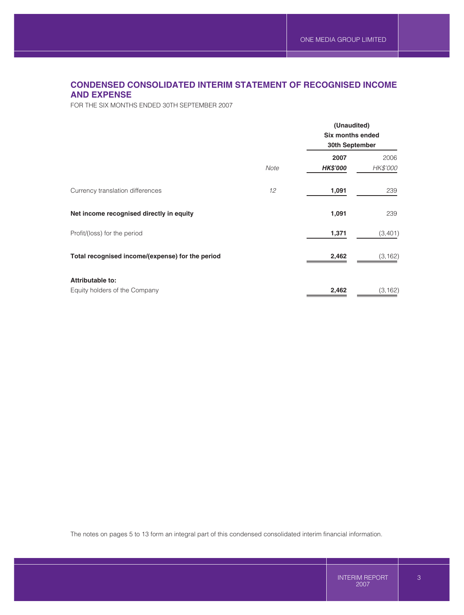# **CONDENSED CONSOLIDATED INTERIM STATEMENT OF RECOGNISED INCOME AND EXPENSE**

FOR THE SIX MONTHS ENDED 30TH SEPTEMBER 2007

| Note | (Unaudited)<br><b>Six months ended</b><br>30th September |                  |  |
|------|----------------------------------------------------------|------------------|--|
|      | 2007<br><b>HK\$'000</b>                                  | 2006<br>HK\$'000 |  |
| 12   | 1,091                                                    | 239              |  |
|      | 1,091                                                    | 239              |  |
|      | 1,371                                                    | (3,401)          |  |
|      | 2,462                                                    | (3, 162)         |  |
|      | 2,462                                                    | (3, 162)         |  |
|      |                                                          |                  |  |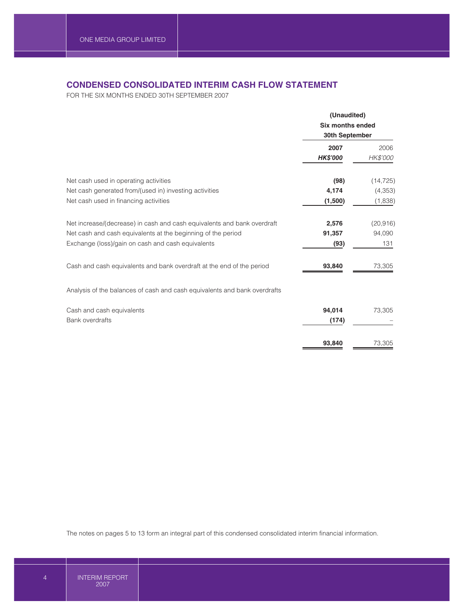# **CONDENSED CONSOLIDATED INTERIM CASH FLOW STATEMENT**

FOR THE SIX MONTHS ENDED 30TH SEPTEMBER 2007

|                                                                                                                   | (Unaudited)<br><b>Six months ended</b><br>30th September |                       |
|-------------------------------------------------------------------------------------------------------------------|----------------------------------------------------------|-----------------------|
|                                                                                                                   | 2007<br><b>HK\$'000</b>                                  | 2006<br>HK\$'000      |
| Net cash used in operating activities<br>Net cash generated from/(used in) investing activities                   | (98)<br>4,174                                            | (14, 725)<br>(4, 353) |
| Net cash used in financing activities                                                                             | (1,500)                                                  | (1,838)               |
| Net increase/(decrease) in cash and cash equivalents and bank overdraft                                           | 2,576                                                    | (20, 916)             |
| Net cash and cash equivalents at the beginning of the period<br>Exchange (loss)/gain on cash and cash equivalents | 91,357<br>(93)                                           | 94,090<br>131         |
| Cash and cash equivalents and bank overdraft at the end of the period                                             | 93,840                                                   | 73,305                |
| Analysis of the balances of cash and cash equivalents and bank overdrafts                                         |                                                          |                       |
| Cash and cash equivalents<br><b>Bank overdrafts</b>                                                               | 94,014<br>(174)                                          | 73,305                |
|                                                                                                                   | 93,840                                                   | 73,305                |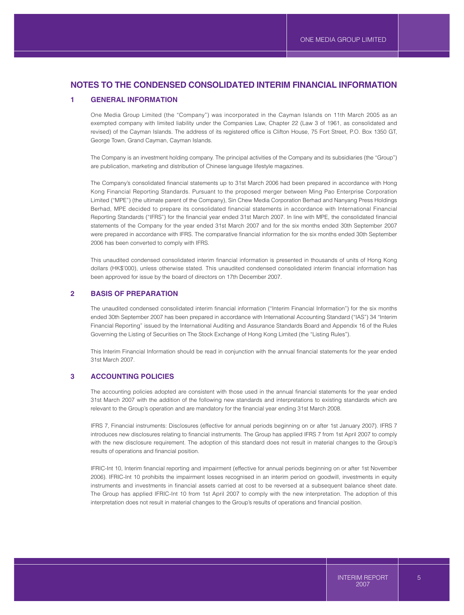## **1 GENERAL INFORMATION**

One Media Group Limited (the "Company") was incorporated in the Cayman Islands on 11th March 2005 as an exempted company with limited liability under the Companies Law, Chapter 22 (Law 3 of 1961, as consolidated and revised) of the Cayman Islands. The address of its registered office is Clifton House, 75 Fort Street, P.O. Box 1350 GT, George Town, Grand Cayman, Cayman Islands.

The Company is an investment holding company. The principal activities of the Company and its subsidiaries (the "Group") are publication, marketing and distribution of Chinese language lifestyle magazines.

The Company's consolidated financial statements up to 31st March 2006 had been prepared in accordance with Hong Kong Financial Reporting Standards. Pursuant to the proposed merger between Ming Pao Enterprise Corporation Limited ("MPE") (the ultimate parent of the Company), Sin Chew Media Corporation Berhad and Nanyang Press Holdings Berhad, MPE decided to prepare its consolidated financial statements in accordance with International Financial Reporting Standards ("IFRS") for the financial year ended 31st March 2007. In line with MPE, the consolidated financial statements of the Company for the year ended 31st March 2007 and for the six months ended 30th September 2007 were prepared in accordance with IFRS. The comparative financial information for the six months ended 30th September 2006 has been converted to comply with IFRS.

This unaudited condensed consolidated interim financial information is presented in thousands of units of Hong Kong dollars (HK\$'000), unless otherwise stated. This unaudited condensed consolidated interim financial information has been approved for issue by the board of directors on 17th December 2007.

### **2 BASIS OF PREPARATION**

The unaudited condensed consolidated interim financial information ("Interim Financial Information") for the six months ended 30th September 2007 has been prepared in accordance with International Accounting Standard ("IAS") 34 "Interim Financial Reporting" issued by the International Auditing and Assurance Standards Board and Appendix 16 of the Rules Governing the Listing of Securities on The Stock Exchange of Hong Kong Limited (the "Listing Rules").

This Interim Financial Information should be read in conjunction with the annual financial statements for the year ended 31st March 2007.

#### **3 ACCOUNTING POLICIES**

The accounting policies adopted are consistent with those used in the annual financial statements for the year ended 31st March 2007 with the addition of the following new standards and interpretations to existing standards which are relevant to the Group's operation and are mandatory for the financial year ending 31st March 2008.

IFRS 7, Financial instruments: Disclosures (effective for annual periods beginning on or after 1st January 2007). IFRS 7 introduces new disclosures relating to financial instruments. The Group has applied IFRS 7 from 1st April 2007 to comply with the new disclosure requirement. The adoption of this standard does not result in material changes to the Group's results of operations and financial position.

IFRIC-Int 10, Interim financial reporting and impairment (effective for annual periods beginning on or after 1st November 2006). IFRIC-Int 10 prohibits the impairment losses recognised in an interim period on goodwill, investments in equity instruments and investments in financial assets carried at cost to be reversed at a subsequent balance sheet date. The Group has applied IFRIC-Int 10 from 1st April 2007 to comply with the new interpretation. The adoption of this interpretation does not result in material changes to the Group's results of operations and financial position.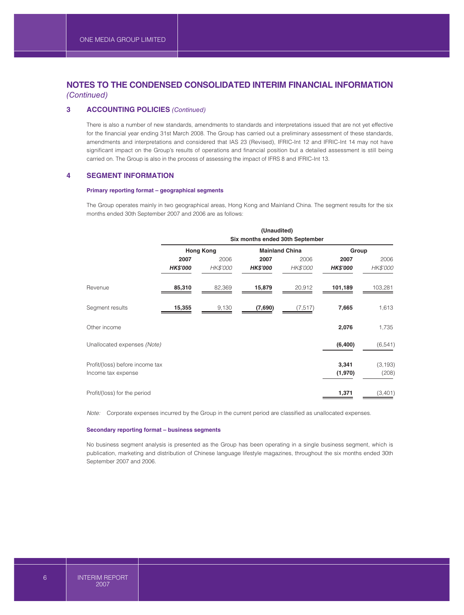## **3 ACCOUNTING POLICIES** *(Continued)*

There is also a number of new standards, amendments to standards and interpretations issued that are not yet effective for the financial year ending 31st March 2008. The Group has carried out a preliminary assessment of these standards, amendments and interpretations and considered that IAS 23 (Revised), IFRIC-Int 12 and IFRIC-Int 14 may not have significant impact on the Group's results of operations and financial position but a detailed assessment is still being carried on. The Group is also in the process of assessing the impact of IFRS 8 and IFRIC-Int 13.

### **4 SEGMENT INFORMATION**

#### **Primary reporting format – geographical segments**

The Group operates mainly in two geographical areas, Hong Kong and Mainland China. The segment results for the six months ended 30th September 2007 and 2006 are as follows:

|                                                       | (Unaudited)<br>Six months ended 30th September |                  |                         |                       |                         |                   |  |
|-------------------------------------------------------|------------------------------------------------|------------------|-------------------------|-----------------------|-------------------------|-------------------|--|
|                                                       |                                                | <b>Hong Kong</b> |                         | <b>Mainland China</b> |                         | Group             |  |
|                                                       | 2007<br><b>HK\$'000</b>                        | 2006<br>HK\$'000 | 2007<br><b>HK\$'000</b> | 2006<br>HK\$'000      | 2007<br><b>HK\$'000</b> | 2006<br>HK\$'000  |  |
| Revenue                                               | 85,310                                         | 82,369           | 15,879                  | 20,912                | 101,189                 | 103,281           |  |
| Segment results                                       | 15,355                                         | 9,130            | (7,690)                 | (7, 517)              | 7,665                   | 1,613             |  |
| Other income                                          |                                                |                  |                         |                       | 2,076                   | 1,735             |  |
| Unallocated expenses (Note)                           |                                                |                  |                         |                       | (6,400)                 | (6, 541)          |  |
| Profit/(loss) before income tax<br>Income tax expense |                                                |                  |                         |                       | 3,341<br>(1,970)        | (3, 193)<br>(208) |  |
| Profit/(loss) for the period                          |                                                |                  |                         |                       | 1,371                   | (3,401)           |  |

*Note:* Corporate expenses incurred by the Group in the current period are classified as unallocated expenses.

#### **Secondary reporting format – business segments**

No business segment analysis is presented as the Group has been operating in a single business segment, which is publication, marketing and distribution of Chinese language lifestyle magazines, throughout the six months ended 30th September 2007 and 2006.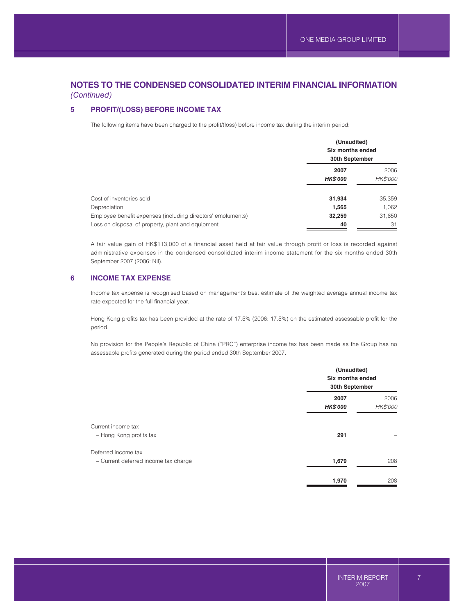## **5 PROFIT/(LOSS) BEFORE INCOME TAX**

The following items have been charged to the profit/(loss) before income tax during the interim period:

|                                                             | (Unaudited)<br>Six months ended<br>30th September |                  |  |
|-------------------------------------------------------------|---------------------------------------------------|------------------|--|
|                                                             | 2007<br><b>HK\$'000</b>                           | 2006<br>HK\$'000 |  |
| Cost of inventories sold                                    | 31,934                                            | 35,359           |  |
| Depreciation                                                | 1,565                                             | 1,062            |  |
| Employee benefit expenses (including directors' emoluments) | 32,259                                            | 31,650           |  |
| Loss on disposal of property, plant and equipment           | 40                                                | 31               |  |

A fair value gain of HK\$113,000 of a financial asset held at fair value through profit or loss is recorded against administrative expenses in the condensed consolidated interim income statement for the six months ended 30th September 2007 (2006: Nil).

### **6 INCOME TAX EXPENSE**

Income tax expense is recognised based on management's best estimate of the weighted average annual income tax rate expected for the full financial year.

Hong Kong profits tax has been provided at the rate of 17.5% (2006: 17.5%) on the estimated assessable profit for the period.

No provision for the People's Republic of China ("PRC") enterprise income tax has been made as the Group has no assessable profits generated during the period ended 30th September 2007.

|                                                             | (Unaudited)<br>Six months ended<br>30th September |                         |  |
|-------------------------------------------------------------|---------------------------------------------------|-------------------------|--|
|                                                             | 2007<br><b>HK\$'000</b>                           | 2006<br><b>HK\$'000</b> |  |
| Current income tax<br>- Hong Kong profits tax               | 291                                               |                         |  |
| Deferred income tax<br>- Current deferred income tax charge | 1,679                                             | 208                     |  |
|                                                             | 1,970                                             | 208                     |  |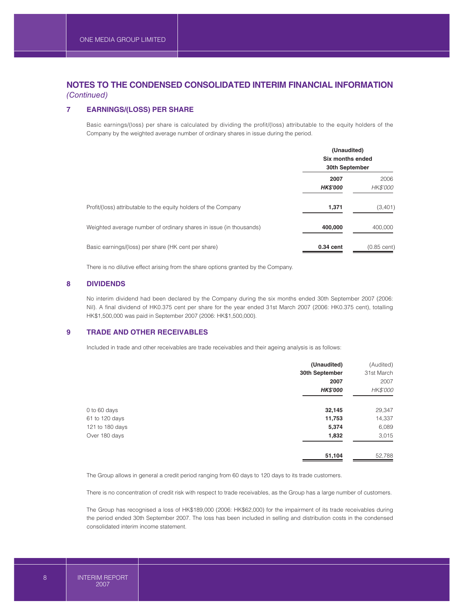## **7 EARNINGS/(LOSS) PER SHARE**

Basic earnings/(loss) per share is calculated by dividing the profit/(loss) attributable to the equity holders of the Company by the weighted average number of ordinary shares in issue during the period.

|                                                                    | (Unaudited)<br>Six months ended<br>30th September |                  |  |
|--------------------------------------------------------------------|---------------------------------------------------|------------------|--|
|                                                                    | 2007<br><b>HK\$'000</b>                           | 2006<br>HK\$'000 |  |
| Profit/(loss) attributable to the equity holders of the Company    | 1,371                                             | (3,401)          |  |
| Weighted average number of ordinary shares in issue (in thousands) | 400,000                                           | 400,000          |  |
| Basic earnings/(loss) per share (HK cent per share)                | 0.34 cent                                         | $(0.85$ cent)    |  |

There is no dilutive effect arising from the share options granted by the Company.

### **8 DIVIDENDS**

No interim dividend had been declared by the Company during the six months ended 30th September 2007 (2006: Nil). A final dividend of HK0.375 cent per share for the year ended 31st March 2007 (2006: HK0.375 cent), totalling HK\$1,500,000 was paid in September 2007 (2006: HK\$1,500,000).

## **9 TRADE AND OTHER RECEIVABLES**

Included in trade and other receivables are trade receivables and their ageing analysis is as follows:

| (Unaudited)     | (Audited)       |
|-----------------|-----------------|
| 30th September  | 31st March      |
| 2007            | 2007            |
| <b>HK\$'000</b> | <b>HK\$'000</b> |
|                 | 29,347          |
| 11,753          | 14,337          |
| 5,374           | 6,089           |
| 1,832           | 3,015           |
| 51,104          | 52,788          |
|                 | 32,145          |

The Group allows in general a credit period ranging from 60 days to 120 days to its trade customers.

There is no concentration of credit risk with respect to trade receivables, as the Group has a large number of customers.

The Group has recognised a loss of HK\$189,000 (2006: HK\$62,000) for the impairment of its trade receivables during the period ended 30th September 2007. The loss has been included in selling and distribution costs in the condensed consolidated interim income statement.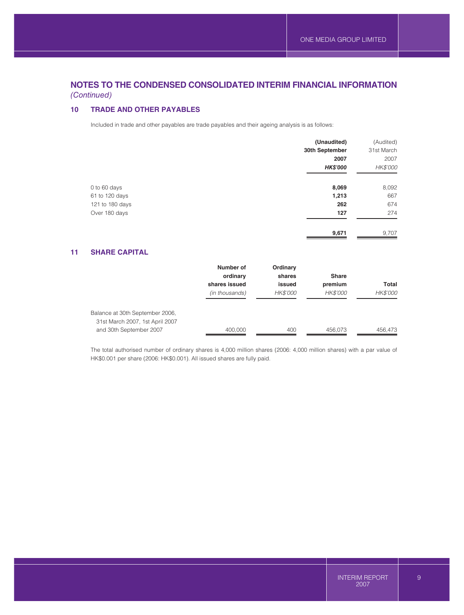## **10 TRADE AND OTHER PAYABLES**

Included in trade and other payables are trade payables and their ageing analysis is as follows:

|                 | (Unaudited)     | (Audited)  |
|-----------------|-----------------|------------|
|                 | 30th September  | 31st March |
|                 | 2007            | 2007       |
|                 | <b>HK\$'000</b> | HK\$'000   |
|                 |                 |            |
| 0 to 60 days    | 8,069           | 8,092      |
| 61 to 120 days  | 1,213           | 667        |
| 121 to 180 days | 262             | 674        |
| Over 180 days   | 127             | 274        |
|                 |                 |            |
|                 | 9,671           | 9,707      |

## **11 SHARE CAPITAL**

|                                 | Number of      | Ordinary        |                 |                 |
|---------------------------------|----------------|-----------------|-----------------|-----------------|
|                                 | ordinary       | shares          | <b>Share</b>    |                 |
|                                 | shares issued  | issued          | premium         | Total           |
|                                 | (in thousands) | <b>HK\$'000</b> | <b>HK\$'000</b> | <b>HK\$'000</b> |
| Balance at 30th September 2006, |                |                 |                 |                 |
| 31st March 2007, 1st April 2007 |                |                 |                 |                 |
| and 30th September 2007         | 400,000        | 400             | 456.073         | 456.473         |

The total authorised number of ordinary shares is 4,000 million shares (2006: 4,000 million shares) with a par value of HK\$0.001 per share (2006: HK\$0.001). All issued shares are fully paid.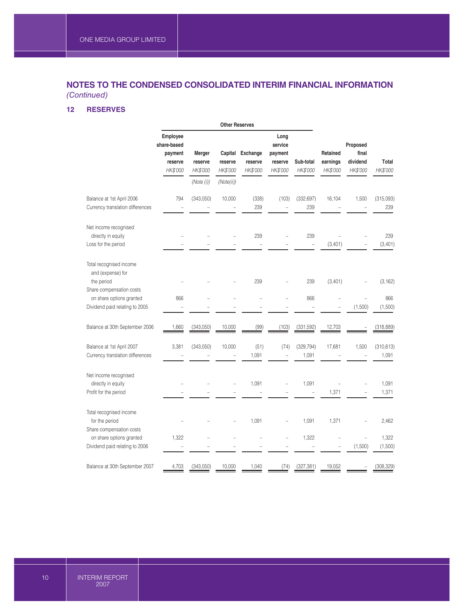# **12 RESERVES**

|                                                                                                                                                      | <b>Other Reserves</b>                                     |                                             |                                              |                                 |                                                   |                       |                                  |                                           |                            |
|------------------------------------------------------------------------------------------------------------------------------------------------------|-----------------------------------------------------------|---------------------------------------------|----------------------------------------------|---------------------------------|---------------------------------------------------|-----------------------|----------------------------------|-------------------------------------------|----------------------------|
|                                                                                                                                                      | Employee<br>share-based<br>payment<br>reserve<br>HK\$'000 | Merger<br>reserve<br>HK\$'000<br>(Note (i)) | Capital<br>reserve<br>HK\$'000<br>(Note(ii)) | Exchange<br>reserve<br>HK\$'000 | Long<br>service<br>payment<br>reserve<br>HK\$'000 | Sub-total<br>HK\$'000 | Retained<br>earnings<br>HK\$'000 | Proposed<br>final<br>dividend<br>HK\$'000 | Total<br>HK\$'000          |
| Balance at 1st April 2006<br>Currency translation differences                                                                                        | 794                                                       | (343,050)                                   | 10,000                                       | (338)<br>239                    | (103)                                             | (332, 697)<br>239     | 16,104                           | 1,500                                     | (315,093)<br>239           |
| Net income recognised<br>directly in equity<br>Loss for the period                                                                                   |                                                           |                                             |                                              | 239<br>$\overline{a}$           |                                                   | 239<br>$\equiv$       | (3,401)                          |                                           | 239<br>(3,401)             |
| Total recognised income<br>and (expense) for<br>the period<br>Share compensation costs<br>on share options granted<br>Dividend paid relating to 2005 | 866                                                       |                                             |                                              | 239<br>L,                       |                                                   | 239<br>866            | (3,401)                          | (1,500)                                   | (3, 162)<br>866<br>(1,500) |
| Balance at 30th September 2006                                                                                                                       | 1,660                                                     | (343,050)                                   | 10,000                                       | (99)                            | (103)                                             | (331,592)             | 12,703                           |                                           | (318, 889)                 |
| Balance at 1st April 2007<br>Currency translation differences                                                                                        | 3,381                                                     | (343,050)                                   | 10,000                                       | (51)<br>1,091                   | (74)                                              | (329, 794)<br>1,091   | 17,681                           | 1,500                                     | (310, 613)<br>1,091        |
| Net income recognised<br>directly in equity<br>Profit for the period                                                                                 |                                                           |                                             |                                              | 1,091                           |                                                   | 1,091                 | 1,371                            | $\overline{\phantom{a}}$                  | 1,091<br>1,371             |
| Total recognised income<br>for the period<br>Share compensation costs<br>on share options granted                                                    | 1,322                                                     |                                             |                                              | 1,091                           |                                                   | 1,091<br>1,322        | 1,371                            | Ē,                                        | 2,462<br>1,322             |
| Dividend paid relating to 2006<br>Balance at 30th September 2007                                                                                     | 4,703                                                     | (343,050)                                   | 10,000                                       | 1,040                           | (74)                                              | (327, 381)            | 19,052                           | (1,500)                                   | (1,500)<br>(308, 329)      |
|                                                                                                                                                      |                                                           |                                             |                                              |                                 |                                                   |                       |                                  |                                           |                            |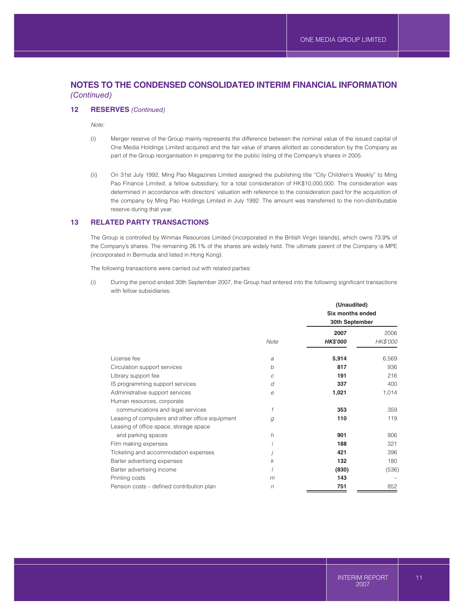### **12 RESERVES** *(Continued)*

*Note:*

- (i) Merger reserve of the Group mainly represents the difference between the nominal value of the issued capital of One Media Holdings Limited acquired and the fair value of shares allotted as consideration by the Company as part of the Group reorganisation in preparing for the public listing of the Company's shares in 2005.
- (ii) On 31st July 1992, Ming Pao Magazines Limited assigned the publishing title "City Children's Weekly" to Ming Pao Finance Limited, a fellow subsidiary, for a total consideration of HK\$10,000,000. The consideration was determined in accordance with directors' valuation with reference to the consideration paid for the acquisition of the company by Ming Pao Holdings Limited in July 1992. The amount was transferred to the non-distributable reserve during that year.

### **13 RELATED PARTY TRANSACTIONS**

The Group is controlled by Winmax Resources Limited (incorporated in the British Virgin Islands), which owns 73.9% of the Company's shares. The remaining 26.1% of the shares are widely held. The ultimate parent of the Company is MPE (incorporated in Bermuda and listed in Hong Kong).

The following transactions were carried out with related parties:

(i) During the period ended 30th September 2007, the Group had entered into the following significant transactions with fellow subsidiaries:

|                                                 |         | (Unaudited)<br><b>Six months ended</b><br>30th September |                 |  |
|-------------------------------------------------|---------|----------------------------------------------------------|-----------------|--|
|                                                 |         | 2007                                                     | 2006            |  |
|                                                 | Note    | <b>HK\$'000</b>                                          | <b>HK\$'000</b> |  |
| License fee                                     | a       | 5,914                                                    | 6,569           |  |
| Circulation support services                    | b       | 817                                                      | 936             |  |
| Library support fee                             | C       | 191                                                      | 216             |  |
| IS programming support services                 | d       | 337                                                      | 400             |  |
| Administrative support services                 | e       | 1,021                                                    | 1,014           |  |
| Human resources, corporate                      |         |                                                          |                 |  |
| communications and legal services               | f       | 353                                                      | 359             |  |
| Leasing of computers and other office equipment | g       | 110                                                      | 119             |  |
| Leasing of office space, storage space          |         |                                                          |                 |  |
| and parking spaces                              | $\hbar$ | 901                                                      | 906             |  |
| Film making expenses                            |         | 188                                                      | 321             |  |
| Ticketing and accommodation expenses            |         | 421                                                      | 396             |  |
| Barter advertising expenses                     | k       | 132                                                      | 180             |  |
| Barter advertising income                       |         | (830)                                                    | (536)           |  |
| Printing costs                                  | m       | 143                                                      |                 |  |
| Pension costs – defined contribution plan       | $\eta$  | 751                                                      | 852             |  |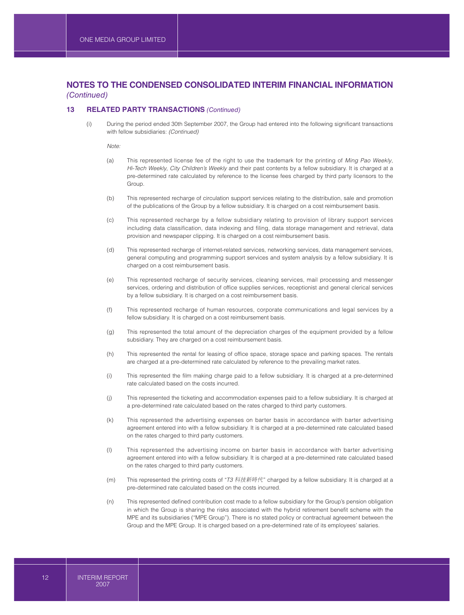#### **13 RELATED PARTY TRANSACTIONS** *(Continued)*

(i) During the period ended 30th September 2007, the Group had entered into the following significant transactions with fellow subsidiaries: *(Continued)*

*Note:*

- (a) This represented license fee of the right to use the trademark for the printing of *Ming Pao Weekly*, *Hi-Tech Weekly*, *City Children's Weekly* and their past contents by a fellow subsidiary. It is charged at a pre-determined rate calculated by reference to the license fees charged by third party licensors to the Group.
- (b) This represented recharge of circulation support services relating to the distribution, sale and promotion of the publications of the Group by a fellow subsidiary. It is charged on a cost reimbursement basis.
- (c) This represented recharge by a fellow subsidiary relating to provision of library support services including data classification, data indexing and filing, data storage management and retrieval, data provision and newspaper clipping. It is charged on a cost reimbursement basis.
- (d) This represented recharge of internet-related services, networking services, data management services, general computing and programming support services and system analysis by a fellow subsidiary. It is charged on a cost reimbursement basis.
- (e) This represented recharge of security services, cleaning services, mail processing and messenger services, ordering and distribution of office supplies services, receptionist and general clerical services by a fellow subsidiary. It is charged on a cost reimbursement basis.
- (f) This represented recharge of human resources, corporate communications and legal services by a fellow subsidiary. It is charged on a cost reimbursement basis.
- (g) This represented the total amount of the depreciation charges of the equipment provided by a fellow subsidiary. They are charged on a cost reimbursement basis.
- (h) This represented the rental for leasing of office space, storage space and parking spaces. The rentals are charged at a pre-determined rate calculated by reference to the prevailing market rates.
- (i) This represented the film making charge paid to a fellow subsidiary. It is charged at a pre-determined rate calculated based on the costs incurred.
- (j) This represented the ticketing and accommodation expenses paid to a fellow subsidiary. It is charged at a pre-determined rate calculated based on the rates charged to third party customers.
- (k) This represented the advertising expenses on barter basis in accordance with barter advertising agreement entered into with a fellow subsidiary. It is charged at a pre-determined rate calculated based on the rates charged to third party customers.
- (l) This represented the advertising income on barter basis in accordance with barter advertising agreement entered into with a fellow subsidiary. It is charged at a pre-determined rate calculated based on the rates charged to third party customers.
- (m) This represented the printing costs of "T3 科技新時代" charged by a fellow subsidiary. It is charged at a pre-determined rate calculated based on the costs incurred.
- (n) This represented defined contribution cost made to a fellow subsidiary for the Group's pension obligation in which the Group is sharing the risks associated with the hybrid retirement benefit scheme with the MPE and its subsidiaries ("MPE Group"). There is no stated policy or contractual agreement between the Group and the MPE Group. It is charged based on a pre-determined rate of its employees' salaries.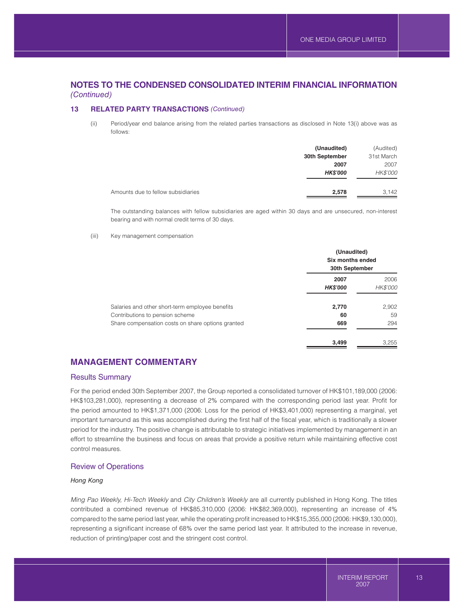## **13 RELATED PARTY TRANSACTIONS** *(Continued)*

(ii) Period/year end balance arising from the related parties transactions as disclosed in Note 13(i) above was as follows:

|                                    | (Unaudited)     | (Audited)  |
|------------------------------------|-----------------|------------|
|                                    | 30th September  | 31st March |
|                                    | 2007            | 2007       |
|                                    | <b>HK\$'000</b> | HK\$'000   |
| Amounts due to fellow subsidiaries | 2,578           | 3,142      |

The outstanding balances with fellow subsidiaries are aged within 30 days and are unsecured, non-interest bearing and with normal credit terms of 30 days.

#### (iii) Key management compensation

|                                                                                    | (Unaudited)<br>Six months ended<br>30th September |                         |  |
|------------------------------------------------------------------------------------|---------------------------------------------------|-------------------------|--|
|                                                                                    | 2007<br><b>HK\$'000</b>                           | 2006<br><b>HK\$'000</b> |  |
| Salaries and other short-term employee benefits<br>Contributions to pension scheme | 2,770<br>60                                       | 2,902<br>59             |  |
| Share compensation costs on share options granted                                  | 669                                               | 294                     |  |
|                                                                                    | 3,499                                             | 3,255                   |  |

## **MANAGEMENT COMMENTARY**

## Results Summary

For the period ended 30th September 2007, the Group reported a consolidated turnover of HK\$101,189,000 (2006: HK\$103,281,000), representing a decrease of 2% compared with the corresponding period last year. Profit for the period amounted to HK\$1,371,000 (2006: Loss for the period of HK\$3,401,000) representing a marginal, yet important turnaround as this was accomplished during the first half of the fiscal year, which is traditionally a slower period for the industry. The positive change is attributable to strategic initiatives implemented by management in an effort to streamline the business and focus on areas that provide a positive return while maintaining effective cost control measures.

### Review of Operations

#### *Hong Kong*

*Ming Pao Weekly, Hi-Tech Weekly* and *City Children's Weekly* are all currently published in Hong Kong. The titles contributed a combined revenue of HK\$85,310,000 (2006: HK\$82,369,000), representing an increase of 4% compared to the same period last year, while the operating profit increased to HK\$15,355,000 (2006: HK\$9,130,000), representing a significant increase of 68% over the same period last year. It attributed to the increase in revenue, reduction of printing/paper cost and the stringent cost control.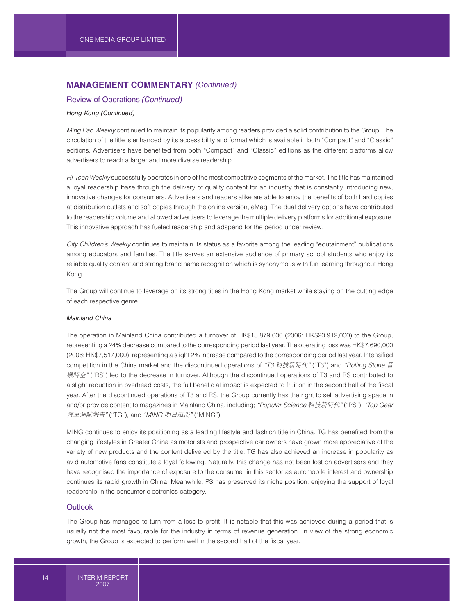# **MANAGEMENT COMMENTARY** *(Continued)*

## Review of Operations *(Continued)*

### *Hong Kong (Continued)*

*Ming Pao Weekly* continued to maintain its popularity among readers provided a solid contribution to the Group. The circulation of the title is enhanced by its accessibility and format which is available in both "Compact" and "Classic" editions. Advertisers have benefited from both "Compact" and "Classic" editions as the different platforms allow advertisers to reach a larger and more diverse readership.

*Hi-Tech Weekly* successfully operates in one of the most competitive segments of the market. The title has maintained a loyal readership base through the delivery of quality content for an industry that is constantly introducing new, innovative changes for consumers. Advertisers and readers alike are able to enjoy the benefits of both hard copies at distribution outlets and soft copies through the online version, eMag. The dual delivery options have contributed to the readership volume and allowed advertisers to leverage the multiple delivery platforms for additional exposure. This innovative approach has fueled readership and adspend for the period under review.

*City Children's Weekly* continues to maintain its status as a favorite among the leading "edutainment" publications among educators and families. The title serves an extensive audience of primary school students who enjoy its reliable quality content and strong brand name recognition which is synonymous with fun learning throughout Hong Kong.

The Group will continue to leverage on its strong titles in the Hong Kong market while staying on the cutting edge of each respective genre.

### *Mainland China*

The operation in Mainland China contributed a turnover of HK\$15,879,000 (2006: HK\$20,912,000) to the Group, representing a 24% decrease compared to the corresponding period last year. The operating loss was HK\$7,690,000 (2006: HK\$7,517,000), representing a slight 2% increase compared to the corresponding period last year. Intensified competition in the China market and the discontinued operations of "T3 科技新時代" ("T3") and "Rolling Stone 音 樂時空" ("RS") led to the decrease in turnover. Although the discontinued operations of T3 and RS contributed to a slight reduction in overhead costs, the full beneficial impact is expected to fruition in the second half of the fiscal year. After the discontinued operations of T3 and RS, the Group currently has the right to sell advertising space in and/or provide content to magazines in Mainland China, including; "Popular Science 科技新時代" ("PS"), "Top Gear 汽車測試報告" ("TG"), and "MING 明日風尚" ("MING").

MING continues to enjoy its positioning as a leading lifestyle and fashion title in China. TG has benefited from the changing lifestyles in Greater China as motorists and prospective car owners have grown more appreciative of the variety of new products and the content delivered by the title. TG has also achieved an increase in popularity as avid automotive fans constitute a loyal following. Naturally, this change has not been lost on advertisers and they have recognised the importance of exposure to the consumer in this sector as automobile interest and ownership continues its rapid growth in China. Meanwhile, PS has preserved its niche position, enjoying the support of loyal readership in the consumer electronics category.

#### **Outlook**

The Group has managed to turn from a loss to profit. It is notable that this was achieved during a period that is usually not the most favourable for the industry in terms of revenue generation. In view of the strong economic growth, the Group is expected to perform well in the second half of the fiscal year.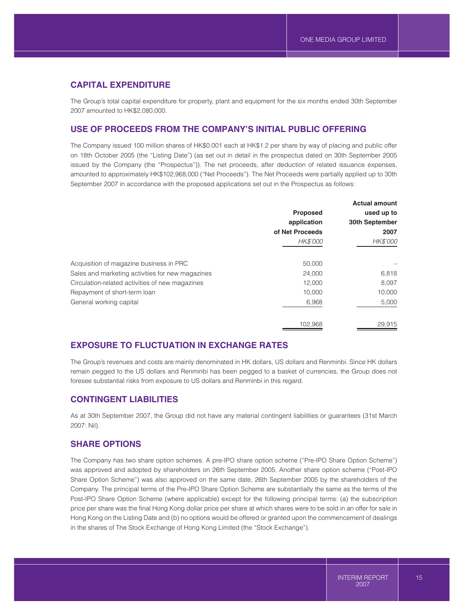## **CAPITAL EXPENDITURE**

The Group's total capital expenditure for property, plant and equipment for the six months ended 30th September 2007 amounted to HK\$2,080,000.

## **USE OF PROCEEDS FROM THE COMPANY'S INITIAL PUBLIC OFFERING**

The Company issued 100 million shares of HK\$0.001 each at HK\$1.2 per share by way of placing and public offer on 18th October 2005 (the "Listing Date") (as set out in detail in the prospectus dated on 30th September 2005 issued by the Company (the "Prospectus")). The net proceeds, after deduction of related issuance expenses, amounted to approximately HK\$102,968,000 ("Net Proceeds"). The Net Proceeds were partially applied up to 30th September 2007 in accordance with the proposed applications set out in the Prospectus as follows:

|                                                  |                 | <b>Actual amount</b> |
|--------------------------------------------------|-----------------|----------------------|
|                                                  | <b>Proposed</b> | used up to           |
|                                                  | application     | 30th September       |
|                                                  | of Net Proceeds | 2007                 |
|                                                  | <b>HK\$'000</b> | HK\$'000             |
| Acquisition of magazine business in PRC          | 50,000          |                      |
| Sales and marketing activities for new magazines | 24,000          | 6,818                |
| Circulation-related activities of new magazines  | 12.000          | 8,097                |
| Repayment of short-term loan                     | 10.000          | 10,000               |
| General working capital                          | 6,968           | 5,000                |
|                                                  | 102,968         | 29,915               |

# **EXPOSURE TO FLUCTUATION IN EXCHANGE RATES**

The Group's revenues and costs are mainly denominated in HK dollars, US dollars and Renminbi. Since HK dollars remain pegged to the US dollars and Renminbi has been pegged to a basket of currencies, the Group does not foresee substantial risks from exposure to US dollars and Renminbi in this regard.

## **CONTINGENT LIABILITIES**

As at 30th September 2007, the Group did not have any material contingent liabilities or guarantees (31st March 2007: Nil).

## **SHARE OPTIONS**

The Company has two share option schemes. A pre-IPO share option scheme ("Pre-IPO Share Option Scheme") was approved and adopted by shareholders on 26th September 2005. Another share option scheme ("Post-IPO Share Option Scheme") was also approved on the same date, 26th September 2005 by the shareholders of the Company. The principal terms of the Pre-IPO Share Option Scheme are substantially the same as the terms of the Post-IPO Share Option Scheme (where applicable) except for the following principal terms: (a) the subscription price per share was the final Hong Kong dollar price per share at which shares were to be sold in an offer for sale in Hong Kong on the Listing Date and (b) no options would be offered or granted upon the commencement of dealings in the shares of The Stock Exchange of Hong Kong Limited (the "Stock Exchange").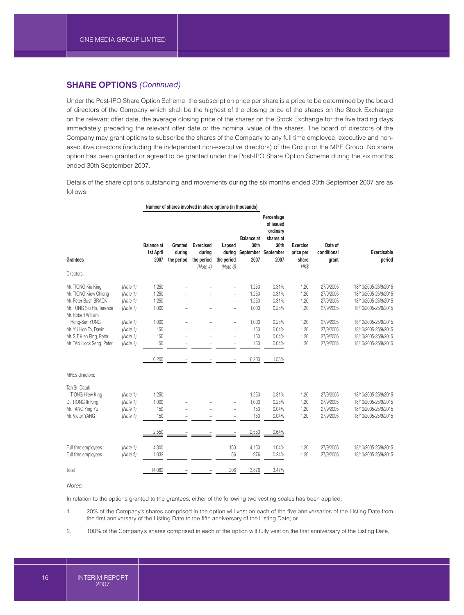## **SHARE OPTIONS** *(Continued)*

Under the Post-IPO Share Option Scheme, the subscription price per share is a price to be determined by the board of directors of the Company which shall be the highest of the closing price of the shares on the Stock Exchange on the relevant offer date, the average closing price of the shares on the Stock Exchange for the five trading days immediately preceding the relevant offer date or the nominal value of the shares. The board of directors of the Company may grant options to subscribe the shares of the Company to any full time employee, executive and nonexecutive directors (including the independent non-executive directors) of the Group or the MPE Group. No share option has been granted or agreed to be granted under the Post-IPO Share Option Scheme during the six months ended 30th September 2007.

Details of the share options outstanding and movements during the six months ended 30th September 2007 are as follows:

|                                                |          | Number of shares involved in share options (in thousands) |                                 |                                                      |                                            |                                                |                                                                               |                                               |                                 |                              |
|------------------------------------------------|----------|-----------------------------------------------------------|---------------------------------|------------------------------------------------------|--------------------------------------------|------------------------------------------------|-------------------------------------------------------------------------------|-----------------------------------------------|---------------------------------|------------------------------|
| <b>Grantees</b><br>Directors:                  |          | <b>Balance</b> at<br>1st April<br>2007                    | Granted<br>during<br>the period | <b>Exercised</b><br>during<br>the period<br>(Note 4) | Lapsed<br>during<br>the period<br>(Note 3) | <b>Balance at</b><br>30th<br>September<br>2007 | Percentage<br>of issued<br>ordinary<br>shares at<br>30th<br>September<br>2007 | <b>Exercise</b><br>price per<br>share<br>HK\$ | Date of<br>conditional<br>grant | <b>Exercisable</b><br>period |
|                                                |          |                                                           |                                 |                                                      |                                            |                                                |                                                                               |                                               |                                 |                              |
| Mr. TIONG Kiu King                             | (Note 1) | 1,250                                                     |                                 |                                                      |                                            | 1,250                                          | 0.31%                                                                         | 1.20                                          | 27/9/2005                       | 18/10/2005-25/9/2015         |
| Mr. TIONG Kiew Chiong                          | (Note 1) | 1,250                                                     |                                 |                                                      | ÷.                                         | 1,250                                          | 0.31%                                                                         | 1.20                                          | 27/9/2005                       | 18/10/2005-25/9/2015         |
| Mr. Peter Bush BRACK                           | (Note 1) | 1,250                                                     |                                 |                                                      | ÷                                          | 1,250                                          | 0.31%                                                                         | 1.20                                          | 27/9/2005                       | 18/10/2005-25/9/2015         |
| Mr. TUNG Siu Ho, Terence<br>Mr. Robert William | (Note 1) | 1,000                                                     |                                 |                                                      | $\qquad \qquad -$                          | 1,000                                          | 0.25%                                                                         | 1.20                                          | 27/9/2005                       | 18/10/2005-25/9/2015         |
| Hong-San YUNG                                  | (Note 1) | 1,000                                                     |                                 |                                                      | ÷.                                         | 1,000                                          | 0.25%                                                                         | 1.20                                          | 27/9/2005                       | 18/10/2005-25/9/2015         |
| Mr. YU Hon To, David                           | (Note 1) | 150                                                       |                                 |                                                      | $\qquad \qquad -$                          | 150                                            | 0.04%                                                                         | 1.20                                          | 27/9/2005                       | 18/10/2005-25/9/2015         |
| Mr. SIT Kien Ping, Peter                       | (Note 1) | 150                                                       |                                 |                                                      | ÷                                          | 150                                            | 0.04%                                                                         | 1.20                                          | 27/9/2005                       | 18/10/2005-25/9/2015         |
| Mr. TAN Hock Seng, Peter                       | (Note 1) | 150                                                       |                                 |                                                      | $\overline{\phantom{a}}$                   | 150                                            | 0.04%                                                                         | 1.20                                          | 27/9/2005                       | 18/10/2005-25/9/2015         |
|                                                |          | 6,200                                                     |                                 |                                                      |                                            | 6,200                                          | 1.55%                                                                         |                                               |                                 |                              |
| MPE's directors:                               |          |                                                           |                                 |                                                      |                                            |                                                |                                                                               |                                               |                                 |                              |
| Tan Sri Datuk                                  |          |                                                           |                                 |                                                      |                                            |                                                |                                                                               |                                               |                                 |                              |
| <b>TIONG Hiew King</b>                         | (Note 1) | 1,250                                                     |                                 |                                                      |                                            | 1,250                                          | 0.31%                                                                         | 1.20                                          | 27/9/2005                       | 18/10/2005-25/9/2015         |
| Dr. TIONG Ik King                              | (Note 1) | 1,000                                                     |                                 |                                                      | ÷                                          | 1,000                                          | 0.25%                                                                         | 1.20                                          | 27/9/2005                       | 18/10/2005-25/9/2015         |
| Mr. TANG Ying Yu                               | (Note 1) | 150                                                       |                                 |                                                      | ÷                                          | 150                                            | 0.04%                                                                         | 1.20                                          | 27/9/2005                       | 18/10/2005-25/9/2015         |
| Mr. Victor YANG                                | (Note 1) | 150                                                       |                                 |                                                      | $\overline{\phantom{a}}$                   | 150                                            | 0.04%                                                                         | 1.20                                          | 27/9/2005                       | 18/10/2005-25/9/2015         |
|                                                |          | 2,550                                                     |                                 |                                                      |                                            | 2,550                                          | 0.64%                                                                         |                                               |                                 |                              |
| Full time employees                            | (Note 1) | 4,300                                                     |                                 |                                                      | 150                                        | 4,150                                          | 1.04%                                                                         | 1.20                                          | 27/9/2005                       | 18/10/2005-25/9/2015         |
| Full time employees                            | (Note 2) | 1,032                                                     |                                 |                                                      | 56                                         | 976                                            | 0.24%                                                                         | 1.20                                          | 27/9/2005                       | 18/10/2005-25/9/2015         |
| Total                                          |          | 14,082                                                    |                                 |                                                      | 206                                        | 13,876                                         | 3.47%                                                                         |                                               |                                 |                              |

*Notes:*

In relation to the options granted to the grantees, either of the following two vesting scales has been applied:

1. 20% of the Company's shares comprised in the option will vest on each of the five anniversaries of the Listing Date from the first anniversary of the Listing Date to the fifth anniversary of the Listing Date; or

2. 100% of the Company's shares comprised in each of the option will fully vest on the first anniversary of the Listing Date,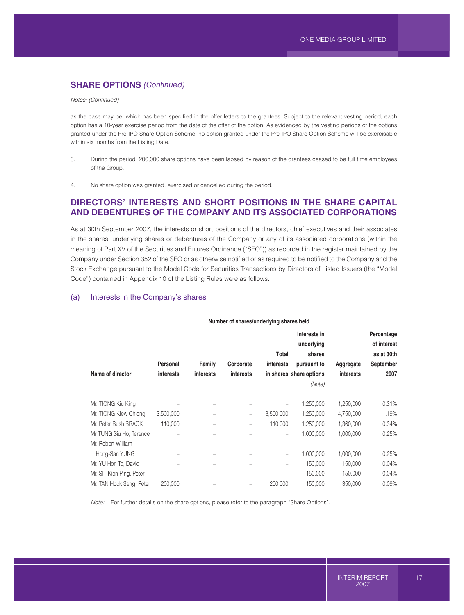# **SHARE OPTIONS** *(Continued)*

*Notes: (Continued)*

as the case may be, which has been specified in the offer letters to the grantees. Subject to the relevant vesting period, each option has a 10-year exercise period from the date of the offer of the option. As evidenced by the vesting periods of the options granted under the Pre-IPO Share Option Scheme, no option granted under the Pre-IPO Share Option Scheme will be exercisable within six months from the Listing Date.

- 3. During the period, 206,000 share options have been lapsed by reason of the grantees ceased to be full time employees of the Group.
- 4. No share option was granted, exercised or cancelled during the period.

## **DIRECTORS' INTERESTS AND SHORT POSITIONS IN THE SHARE CAPITAL AND DEBENTURES OF THE COMPANY AND ITS ASSOCIATED CORPORATIONS**

As at 30th September 2007, the interests or short positions of the directors, chief executives and their associates in the shares, underlying shares or debentures of the Company or any of its associated corporations (within the meaning of Part XV of the Securities and Futures Ordinance ("SFO")) as recorded in the register maintained by the Company under Section 352 of the SFO or as otherwise notified or as required to be notified to the Company and the Stock Exchange pursuant to the Model Code for Securities Transactions by Directors of Listed Issuers (the "Model Code") contained in Appendix 10 of the Listing Rules were as follows:

### (a) Interests in the Company's shares

|                          | Number of shares/underlying shares held |                  |                  |                   |                                      |           |                                         |
|--------------------------|-----------------------------------------|------------------|------------------|-------------------|--------------------------------------|-----------|-----------------------------------------|
|                          |                                         |                  |                  | Total             | Interests in<br>underlying<br>shares |           | Percentage<br>of interest<br>as at 30th |
|                          | Personal                                | Family           | Corporate        | interests         | pursuant to                          | Aggregate | September                               |
| Name of director         | <b>interests</b>                        | <b>interests</b> | <b>interests</b> |                   | in shares share options              | interests | 2007                                    |
|                          |                                         |                  |                  |                   | (Note)                               |           |                                         |
| Mr. TIONG Kiu King       |                                         | -                |                  |                   | 1,250,000                            | 1,250,000 | 0.31%                                   |
| Mr. TIONG Kiew Chiong    | 3,500,000                               |                  |                  | 3,500,000         | 1,250,000                            | 4,750,000 | 1.19%                                   |
| Mr. Peter Bush BRACK     | 110,000                                 |                  | -                | 110,000           | 1,250,000                            | 1,360,000 | 0.34%                                   |
| Mr TUNG Siu Ho, Terence  |                                         |                  |                  | $\qquad \qquad -$ | 1,000,000                            | 1,000,000 | 0.25%                                   |
| Mr. Robert William       |                                         |                  |                  |                   |                                      |           |                                         |
| Hong-San YUNG            |                                         |                  |                  | -                 | 1,000,000                            | 1,000,000 | 0.25%                                   |
| Mr. YU Hon To, David     |                                         | -                | -                | -                 | 150,000                              | 150,000   | 0.04%                                   |
| Mr. SIT Kien Ping, Peter |                                         |                  |                  |                   | 150,000                              | 150,000   | 0.04%                                   |
| Mr. TAN Hock Seng, Peter | 200,000                                 |                  |                  | 200.000           | 150,000                              | 350,000   | 0.09%                                   |

*Note:* For further details on the share options, please refer to the paragraph "Share Options".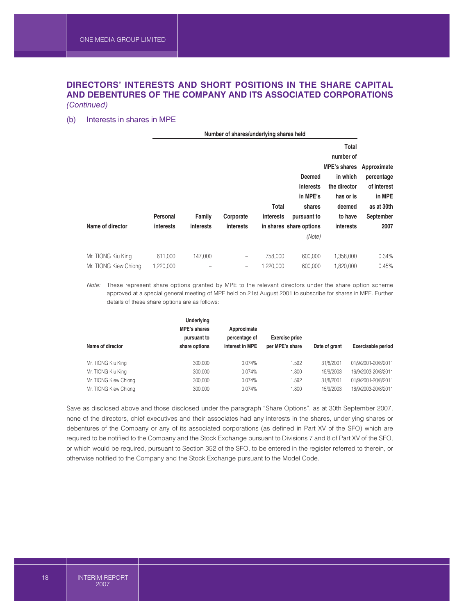# **DIRECTORS' INTERESTS AND SHORT POSITIONS IN THE SHARE CAPITAL AND DEBENTURES OF THE COMPANY AND ITS ASSOCIATED CORPORATIONS**

*(Continued)*

## (b) Interests in shares in MPE

| Number of shares/underlying shares held |                  |                  |                  |                  |                         |                     |             |
|-----------------------------------------|------------------|------------------|------------------|------------------|-------------------------|---------------------|-------------|
|                                         |                  |                  |                  |                  |                         | Total               |             |
|                                         |                  |                  |                  |                  |                         | number of           |             |
|                                         |                  |                  |                  |                  |                         | <b>MPE's shares</b> | Approximate |
|                                         |                  |                  |                  |                  | <b>Deemed</b>           | in which            | percentage  |
|                                         |                  |                  |                  |                  | interests               | the director        | of interest |
|                                         |                  |                  |                  |                  | in MPE's                | has or is           | in MPE      |
|                                         |                  |                  |                  | <b>Total</b>     | shares                  | deemed              | as at 30th  |
|                                         | Personal         | Family           | Corporate        | <i>interests</i> | pursuant to             | to have             | September   |
| Name of director                        | <b>interests</b> | <b>interests</b> | <b>interests</b> |                  | in shares share options | <b>interests</b>    | 2007        |
|                                         |                  |                  |                  |                  | (Note)                  |                     |             |
|                                         |                  |                  |                  |                  |                         |                     |             |
| Mr. TIONG Kiu King                      | 611,000          | 147,000          | -                | 758,000          | 600.000                 | 1,358,000           | 0.34%       |
| Mr. TIONG Kiew Chiong                   | 1,220,000        |                  | -                | 1,220,000        | 600,000                 | 1,820,000           | 0.45%       |

*Note:* These represent share options granted by MPE to the relevant directors under the share option scheme approved at a special general meeting of MPE held on 21st August 2001 to subscribe for shares in MPE. Further details of these share options are as follows:

| Name of director      | Underlying<br><b>MPE's shares</b><br>pursuant to<br>share options | Approximate<br>percentage of<br>interest in MPE | <b>Exercise price</b><br>per MPE's share | Date of grant | <b>Exercisable period</b> |
|-----------------------|-------------------------------------------------------------------|-------------------------------------------------|------------------------------------------|---------------|---------------------------|
| Mr. TIONG Kiu King    | 300,000                                                           | 0.074%                                          | 1.592                                    | 31/8/2001     | 01/9/2001-20/8/2011       |
| Mr. TIONG Kiu King    | 300,000                                                           | 0.074%                                          | 1.800                                    | 15/9/2003     | 16/9/2003-20/8/2011       |
| Mr. TIONG Kiew Chiong | 300,000                                                           | 0.074%                                          | 1.592                                    | 31/8/2001     | 01/9/2001-20/8/2011       |
| Mr. TIONG Kiew Chiong | 300.000                                                           | 0.074%                                          | 1.800                                    | 15/9/2003     | 16/9/2003-20/8/2011       |

Save as disclosed above and those disclosed under the paragraph "Share Options", as at 30th September 2007, none of the directors, chief executives and their associates had any interests in the shares, underlying shares or debentures of the Company or any of its associated corporations (as defined in Part XV of the SFO) which are required to be notified to the Company and the Stock Exchange pursuant to Divisions 7 and 8 of Part XV of the SFO, or which would be required, pursuant to Section 352 of the SFO, to be entered in the register referred to therein, or otherwise notified to the Company and the Stock Exchange pursuant to the Model Code.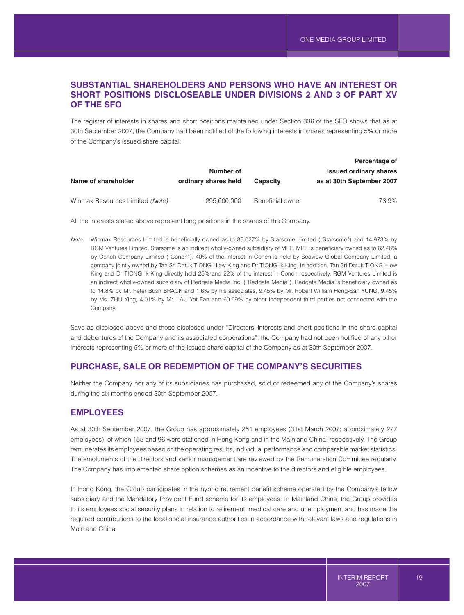# **SUBSTANTIAL SHAREHOLDERS AND PERSONS WHO HAVE AN INTEREST OR SHORT POSITIONS DISCLOSEABLE UNDER DIVISIONS 2 AND 3 OF PART XV OF THE SFO**

The register of interests in shares and short positions maintained under Section 336 of the SFO shows that as at 30th September 2007, the Company had been notified of the following interests in shares representing 5% or more of the Company's issued share capital:

|                      |                  | Percentage of             |
|----------------------|------------------|---------------------------|
| Number of            |                  | issued ordinary shares    |
| ordinary shares held | <b>Capacity</b>  | as at 30th September 2007 |
|                      |                  |                           |
| 295,600,000          | Beneficial owner | 73.9%                     |
|                      |                  |                           |

All the interests stated above represent long positions in the shares of the Company.

*Note:* Winmax Resources Limited is beneficially owned as to 85.027% by Starsome Limited ("Starsome") and 14.973% by RGM Ventures Limited. Starsome is an indirect wholly-owned subsidiary of MPE. MPE is beneficiary owned as to 62.46% by Conch Company Limited ("Conch"). 40% of the interest in Conch is held by Seaview Global Company Limited, a company jointly owned by Tan Sri Datuk TIONG Hiew King and Dr TIONG Ik King. In addition, Tan Sri Datuk TIONG Hiew King and Dr TIONG Ik King directly hold 25% and 22% of the interest in Conch respectively. RGM Ventures Limited is an indirect wholly-owned subsidiary of Redgate Media Inc. ("Redgate Media"). Redgate Media is beneficiary owned as to 14.8% by Mr. Peter Bush BRACK and 1.6% by his associates, 9.45% by Mr. Robert William Hong-San YUNG, 9.45% by Ms. ZHU Ying, 4.01% by Mr. LAU Yat Fan and 60.69% by other independent third parties not connected with the Company.

Save as disclosed above and those disclosed under "Directors' interests and short positions in the share capital and debentures of the Company and its associated corporations", the Company had not been notified of any other interests representing 5% or more of the issued share capital of the Company as at 30th September 2007.

# **PURCHASE, SALE OR REDEMPTION OF THE COMPANY'S SECURITIES**

Neither the Company nor any of its subsidiaries has purchased, sold or redeemed any of the Company's shares during the six months ended 30th September 2007.

## **EMPLOYEES**

As at 30th September 2007, the Group has approximately 251 employees (31st March 2007: approximately 277 employees), of which 155 and 96 were stationed in Hong Kong and in the Mainland China, respectively. The Group remunerates its employees based on the operating results, individual performance and comparable market statistics. The emoluments of the directors and senior management are reviewed by the Remuneration Committee regularly. The Company has implemented share option schemes as an incentive to the directors and eligible employees.

In Hong Kong, the Group participates in the hybrid retirement benefit scheme operated by the Company's fellow subsidiary and the Mandatory Provident Fund scheme for its employees. In Mainland China, the Group provides to its employees social security plans in relation to retirement, medical care and unemployment and has made the required contributions to the local social insurance authorities in accordance with relevant laws and regulations in Mainland China.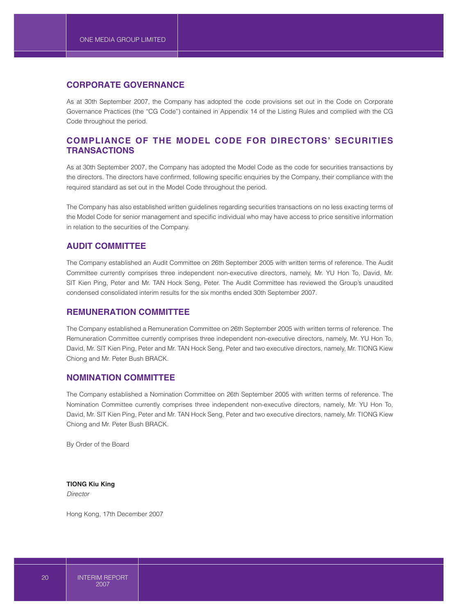## **CORPORATE GOVERNANCE**

As at 30th September 2007, the Company has adopted the code provisions set out in the Code on Corporate Governance Practices (the "CG Code") contained in Appendix 14 of the Listing Rules and complied with the CG Code throughout the period.

# **COMPLIANCE OF THE MODEL CODE FOR DIRECTORS' SECURITIES TRANSACTIONS**

As at 30th September 2007, the Company has adopted the Model Code as the code for securities transactions by the directors. The directors have confirmed, following specific enquiries by the Company, their compliance with the required standard as set out in the Model Code throughout the period.

The Company has also established written guidelines regarding securities transactions on no less exacting terms of the Model Code for senior management and specific individual who may have access to price sensitive information in relation to the securities of the Company.

## **AUDIT COMMITTEE**

The Company established an Audit Committee on 26th September 2005 with written terms of reference. The Audit Committee currently comprises three independent non-executive directors, namely, Mr. YU Hon To, David, Mr. SIT Kien Ping, Peter and Mr. TAN Hock Seng, Peter. The Audit Committee has reviewed the Group's unaudited condensed consolidated interim results for the six months ended 30th September 2007.

## **REMUNERATION COMMITTEE**

The Company established a Remuneration Committee on 26th September 2005 with written terms of reference. The Remuneration Committee currently comprises three independent non-executive directors, namely, Mr. YU Hon To, David, Mr. SIT Kien Ping, Peter and Mr. TAN Hock Seng, Peter and two executive directors, namely, Mr. TIONG Kiew Chiong and Mr. Peter Bush BRACK.

## **NOMINATION COMMITTEE**

The Company established a Nomination Committee on 26th September 2005 with written terms of reference. The Nomination Committee currently comprises three independent non-executive directors, namely, Mr. YU Hon To, David, Mr. SIT Kien Ping, Peter and Mr. TAN Hock Seng, Peter and two executive directors, namely, Mr. TIONG Kiew Chiong and Mr. Peter Bush BRACK.

By Order of the Board

**TIONG Kiu King** *Director*

Hong Kong, 17th December 2007